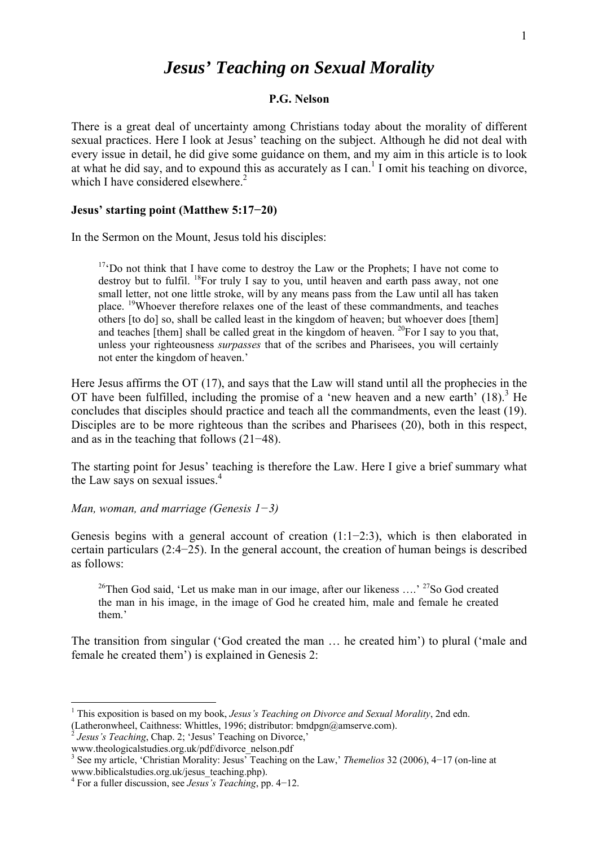# *Jesus' Teaching on Sexual Morality*

#### **P.G. Nelson**

There is a great deal of uncertainty among Christians today about the morality of different sexual practices. Here I look at Jesus' teaching on the subject. Although he did not deal with every issue in detail, he did give some guidance on them, and my aim in this article is to look at what he did say, and to expound this as accurately as  $I \text{ can}$ .<sup>1</sup> I omit his teaching on divorce, which I have considered elsewhere. $2$ 

#### **Jesus' starting point (Matthew 5:17−20)**

In the Sermon on the Mount, Jesus told his disciples:

 $17 \text{°}$ Do not think that I have come to destroy the Law or the Prophets; I have not come to destroy but to fulfil.  $^{18}$ For truly I say to you, until heaven and earth pass away, not one small letter, not one little stroke, will by any means pass from the Law until all has taken place. 19Whoever therefore relaxes one of the least of these commandments, and teaches others [to do] so, shall be called least in the kingdom of heaven; but whoever does [them] and teaches [them] shall be called great in the kingdom of heaven.  $^{20}$ For I say to you that, unless your righteousness *surpasses* that of the scribes and Pharisees, you will certainly not enter the kingdom of heaven.'

Here Jesus affirms the OT (17), and says that the Law will stand until all the prophecies in the OT have been fulfilled, including the promise of a 'new heaven and a new earth'  $(18)$ .<sup>3</sup> He concludes that disciples should practice and teach all the commandments, even the least (19). Disciples are to be more righteous than the scribes and Pharisees (20), both in this respect, and as in the teaching that follows (21−48).

The starting point for Jesus' teaching is therefore the Law. Here I give a brief summary what the Law says on sexual issues.<sup>4</sup>

*Man, woman, and marriage (Genesis 1−3)* 

Genesis begins with a general account of creation (1:1−2:3), which is then elaborated in certain particulars (2:4−25). In the general account, the creation of human beings is described as follows:

<sup>26</sup>Then God said, 'Let us make man in our image, after our likeness ....' <sup>27</sup>So God created the man in his image, in the image of God he created him, male and female he created them.'

The transition from singular ('God created the man … he created him') to plural ('male and female he created them') is explained in Genesis 2:

 $\overline{a}$ 

<sup>&</sup>lt;sup>1</sup> This exposition is based on my book, *Jesus's Teaching on Divorce and Sexual Morality*, 2nd edn.

<sup>(</sup>Latheronwheel, Caithness: Whittles, 1996; distributor: [bmdpgn@amserve.com\).](mailto:bmdpgn@amserve.com) 

 $2^{2}$  *Jesus's Teaching*, Chap. 2; 'Jesus' Teaching on Divorce,'

[www.theologicalstudies.org.uk/pdf/divorce\\_nelson.pdf](http://www.theologicalstudies.org.uk/pdf/divorce_nelson.pdf) 

<sup>3</sup> See my article, 'Christian Morality: Jesus' Teaching on the Law,' *Themelios* 32 (2006), 4−17 (on-line at www.biblicalstudies.org.uk/jesus\_teaching.php). 4 For a fuller discussion, see *Jesus's Teaching*, pp. 4−12.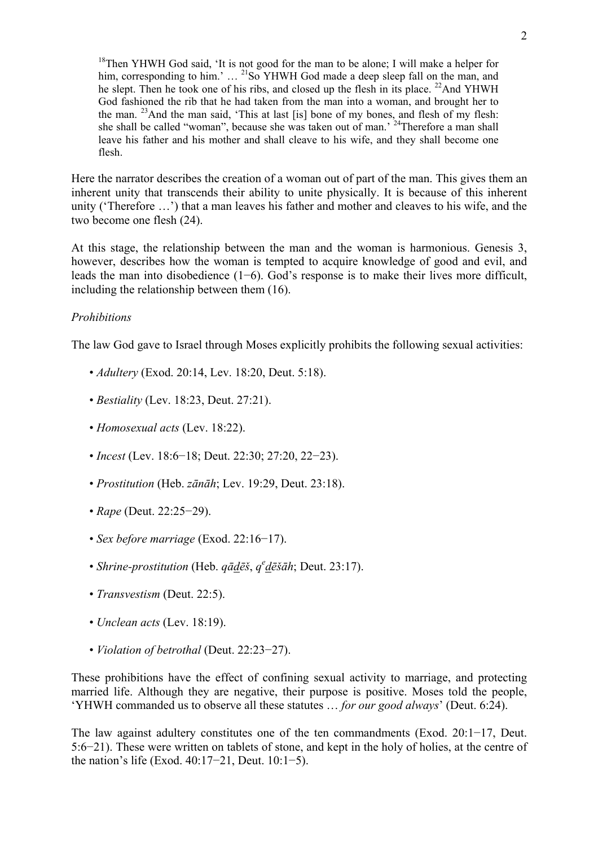<sup>18</sup>Then YHWH God said, 'It is not good for the man to be alone; I will make a helper for him, corresponding to him.'  $\ldots$ <sup>21</sup>So YHWH God made a deep sleep fall on the man, and he slept. Then he took one of his ribs, and closed up the flesh in its place.  $^{22}$ And YHWH God fashioned the rib that he had taken from the man into a woman, and brought her to the man. 23And the man said, 'This at last [is] bone of my bones, and flesh of my flesh: she shall be called "woman", because she was taken out of man.' 24Therefore a man shall leave his father and his mother and shall cleave to his wife, and they shall become one flesh.

Here the narrator describes the creation of a woman out of part of the man. This gives them an inherent unity that transcends their ability to unite physically. It is because of this inherent unity ('Therefore …') that a man leaves his father and mother and cleaves to his wife, and the two become one flesh (24).

At this stage, the relationship between the man and the woman is harmonious. Genesis 3, however, describes how the woman is tempted to acquire knowledge of good and evil, and leads the man into disobedience (1−6). God's response is to make their lives more difficult, including the relationship between them (16).

## *Prohibitions*

The law God gave to Israel through Moses explicitly prohibits the following sexual activities:

- *Adultery* (Exod. 20:14, Lev. 18:20, Deut. 5:18).
- *Bestiality* (Lev. 18:23, Deut. 27:21).
- • *Homosexual acts* (Lev. 18:22).
- *Incest* (Lev. 18:6−18; Deut. 22:30; 27:20, 22−23).
- *Prostitution* (Heb. *zānāh*; Lev. 19:29, Deut. 23:18).
- *Rape* (Deut. 22:25−29).
- *Sex before marriage* (Exod. 22:16−17).
- *Shrine-prostitution* (Heb. *qādēš*, *qe dēšāh*; Deut. 23:17).
- *Transvestism* (Deut. 22:5).
- *Unclean acts* (Lev. 18:19).
- *Violation of betrothal* (Deut. 22:23−27).

These prohibitions have the effect of confining sexual activity to marriage, and protecting married life. Although they are negative, their purpose is positive. Moses told the people, 'YHWH commanded us to observe all these statutes … *for our good always*' (Deut. 6:24).

The law against adultery constitutes one of the ten commandments (Exod. 20:1−17, Deut. 5:6−21). These were written on tablets of stone, and kept in the holy of holies, at the centre of the nation's life (Exod. 40:17−21, Deut. 10:1−5).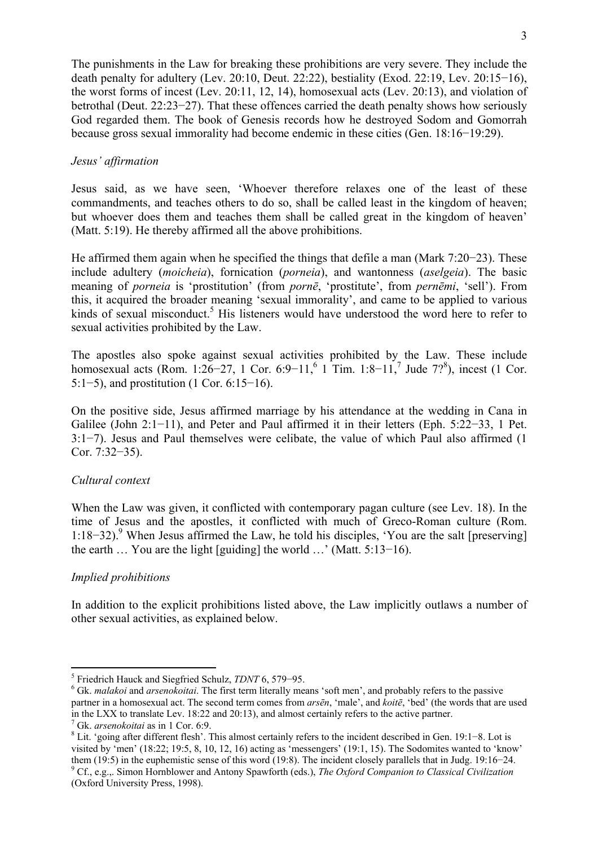The punishments in the Law for breaking these prohibitions are very severe. They include the death penalty for adultery (Lev. 20:10, Deut. 22:22), bestiality (Exod. 22:19, Lev. 20:15−16), the worst forms of incest (Lev. 20:11, 12, 14), homosexual acts (Lev. 20:13), and violation of betrothal (Deut. 22:23−27). That these offences carried the death penalty shows how seriously God regarded them. The book of Genesis records how he destroyed Sodom and Gomorrah because gross sexual immorality had become endemic in these cities (Gen. 18:16−19:29).

## *Jesus' affirmation*

Jesus said, as we have seen, 'Whoever therefore relaxes one of the least of these commandments, and teaches others to do so, shall be called least in the kingdom of heaven; but whoever does them and teaches them shall be called great in the kingdom of heaven' (Matt. 5:19). He thereby affirmed all the above prohibitions.

He affirmed them again when he specified the things that defile a man (Mark 7:20−23). These include adultery (*moicheia*), fornication (*porneia*), and wantonness (*aselgeia*). The basic meaning of *porneia* is 'prostitution' (from *pornē*, 'prostitute', from *pernēmi*, 'sell'). From this, it acquired the broader meaning 'sexual immorality', and came to be applied to various kinds of sexual misconduct.<sup>5</sup> His listeners would have understood the word here to refer to sexual activities prohibited by the Law.

The apostles also spoke against sexual activities prohibited by the Law. These include homosexual acts (Rom. 1:26–27, 1 Cor. 6:9–11,<sup>6</sup> 1 Tim. 1:8–11,<sup>7</sup> Jude 7?<sup>8</sup>), incest (1 Cor. 5:1−5), and prostitution (1 Cor. 6:15−16).

On the positive side, Jesus affirmed marriage by his attendance at the wedding in Cana in Galilee (John 2:1−11), and Peter and Paul affirmed it in their letters (Eph. 5:22−33, 1 Pet. 3:1−7). Jesus and Paul themselves were celibate, the value of which Paul also affirmed (1 Cor. 7:32−35).

## *Cultural context*

When the Law was given, it conflicted with contemporary pagan culture (see Lev. 18). In the time of Jesus and the apostles, it conflicted with much of Greco-Roman culture (Rom. 1:18–32).<sup>9</sup> When Jesus affirmed the Law, he told his disciples, 'You are the salt [preserving] the earth … You are the light [guiding] the world …' (Matt. 5:13−16).

## *Implied prohibitions*

In addition to the explicit prohibitions listed above, the Law implicitly outlaws a number of other sexual activities, as explained below.

 $\overline{a}$ <sup>5</sup> Friedrich Hauck and Siegfried Schulz, *TDNT* 6, 579–95.

<sup>&</sup>lt;sup>6</sup> Gk. *malakoi* and *arsenokoitai*. The first term literally means 'soft men', and probably refers to the passive partner in a homosexual act. The second term comes from *arsēn*, 'male', and *koitē*, 'bed' (the words that are used in the LXX to translate Lev. 18:22 and 20:13), and almost certainly refers to the active partner. 7

 $\frac{7}{1}$  Gk. *arsenokoitai* as in 1 Cor. 6:9.

Lit. 'going after different flesh'. This almost certainly refers to the incident described in Gen. 19:1−8. Lot is visited by 'men' (18:22; 19:5, 8, 10, 12, 16) acting as 'messengers' (19:1, 15). The Sodomites wanted to 'know' them (19:5) in the euphemistic sense of this word (19:8). The incident closely parallels that in Judg. 19:16−24. 9 Cf., e.g.,. Simon Hornblower and Antony Spawforth (eds.), *The Oxford Companion to Classical Civilization* (Oxford University Press, 1998).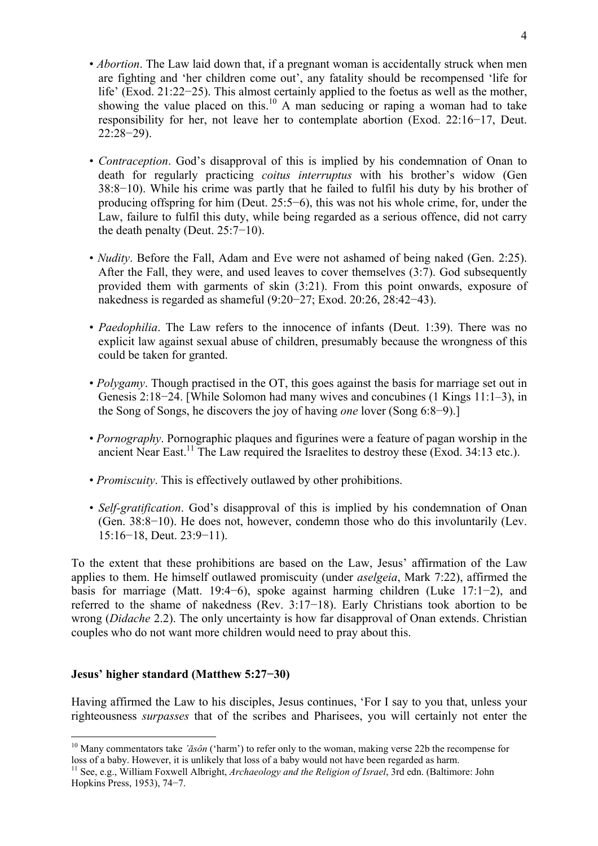- *Abortion*. The Law laid down that, if a pregnant woman is accidentally struck when men are fighting and 'her children come out', any fatality should be recompensed 'life for life' (Exod. 21:22−25). This almost certainly applied to the foetus as well as the mother, showing the value placed on this.<sup>10</sup> A man seducing or raping a woman had to take responsibility for her, not leave her to contemplate abortion (Exod. 22:16−17, Deut. 22:28−29).
- *Contraception*. God's disapproval of this is implied by his condemnation of Onan to death for regularly practicing *coitus interruptus* with his brother's widow (Gen 38:8−10). While his crime was partly that he failed to fulfil his duty by his brother of producing offspring for him (Deut. 25:5−6), this was not his whole crime, for, under the Law, failure to fulfil this duty, while being regarded as a serious offence, did not carry the death penalty (Deut. 25:7−10).
- *Nudity*. Before the Fall, Adam and Eve were not ashamed of being naked (Gen. 2:25). After the Fall, they were, and used leaves to cover themselves (3:7). God subsequently provided them with garments of skin (3:21). From this point onwards, exposure of nakedness is regarded as shameful (9:20−27; Exod. 20:26, 28:42−43).
- *Paedophilia*. The Law refers to the innocence of infants (Deut. 1:39). There was no explicit law against sexual abuse of children, presumably because the wrongness of this could be taken for granted.
- *Polygamy*. Though practised in the OT, this goes against the basis for marriage set out in Genesis 2:18−24. [While Solomon had many wives and concubines (1 Kings 11:1–3), in the Song of Songs, he discovers the joy of having *one* lover (Song 6:8−9).]
- *Pornography*. Pornographic plaques and figurines were a feature of pagan worship in the ancient Near East.<sup>11</sup> The Law required the Israelites to destroy these (Exod. 34:13 etc.).
- *Promiscuity*. This is effectively outlawed by other prohibitions.
- *Self-gratification*. God's disapproval of this is implied by his condemnation of Onan (Gen. 38:8−10). He does not, however, condemn those who do this involuntarily (Lev. 15:16−18, Deut. 23:9−11).

To the extent that these prohibitions are based on the Law, Jesus' affirmation of the Law applies to them. He himself outlawed promiscuity (under *aselgeia*, Mark 7:22), affirmed the basis for marriage (Matt. 19:4−6), spoke against harming children (Luke 17:1−2), and referred to the shame of nakedness (Rev. 3:17−18). Early Christians took abortion to be wrong (*Didache* 2.2). The only uncertainty is how far disapproval of Onan extends. Christian couples who do not want more children would need to pray about this.

## **Jesus' higher standard (Matthew 5:27−30)**

 $\overline{a}$ 

Having affirmed the Law to his disciples, Jesus continues, 'For I say to you that, unless your righteousness *surpasses* that of the scribes and Pharisees, you will certainly not enter the

<sup>10</sup> Many commentators take *'āsôn* ('harm') to refer only to the woman, making verse 22b the recompense for loss of a baby. However, it is unlikely that loss of a baby would not have been regarded as harm.

<sup>11</sup> See, e.g., William Foxwell Albright, *Archaeology and the Religion of Israel*, 3rd edn. (Baltimore: John Hopkins Press, 1953), 74−7.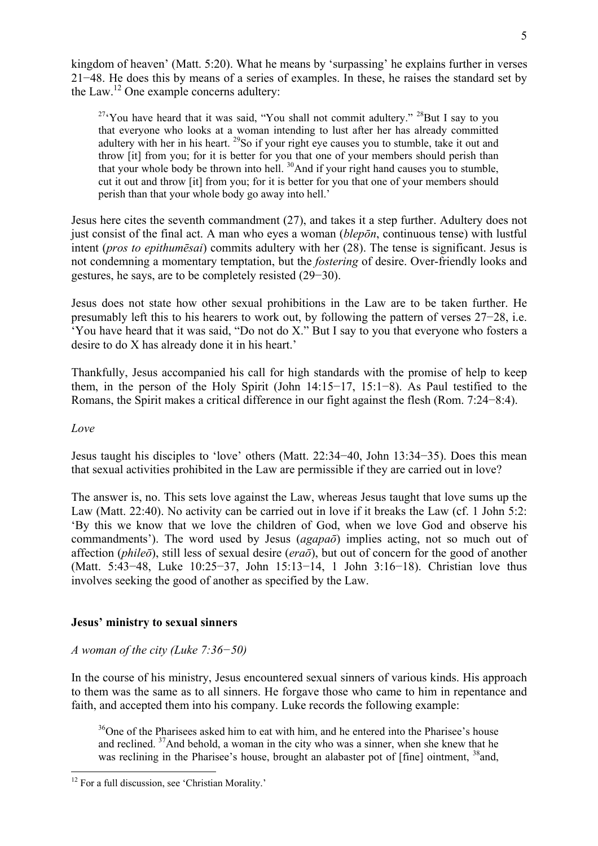kingdom of heaven' (Matt. 5:20). What he means by 'surpassing' he explains further in verses 21−48. He does this by means of a series of examples. In these, he raises the standard set by the Law.12 One example concerns adultery:

 $27\text{°}$ You have heard that it was said, "You shall not commit adultery."  $28$ But I say to you that everyone who looks at a woman intending to lust after her has already committed adultery with her in his heart.  $^{29}$ So if your right eye causes you to stumble, take it out and throw [it] from you; for it is better for you that one of your members should perish than that your whole body be thrown into hell. <sup>30</sup>And if your right hand causes you to stumble, cut it out and throw [it] from you; for it is better for you that one of your members should perish than that your whole body go away into hell.'

Jesus here cites the seventh commandment (27), and takes it a step further. Adultery does not just consist of the final act. A man who eyes a woman (*blepōn*, continuous tense) with lustful intent (*pros to epithumēsai*) commits adultery with her (28). The tense is significant. Jesus is not condemning a momentary temptation, but the *fostering* of desire. Over-friendly looks and gestures, he says, are to be completely resisted (29−30).

Jesus does not state how other sexual prohibitions in the Law are to be taken further. He presumably left this to his hearers to work out, by following the pattern of verses 27−28, i.e. 'You have heard that it was said, "Do not do X." But I say to you that everyone who fosters a desire to do X has already done it in his heart.'

Thankfully, Jesus accompanied his call for high standards with the promise of help to keep them, in the person of the Holy Spirit (John 14:15−17, 15:1−8). As Paul testified to the Romans, the Spirit makes a critical difference in our fight against the flesh (Rom. 7:24−8:4).

## *Love*

Jesus taught his disciples to 'love' others (Matt. 22:34−40, John 13:34−35). Does this mean that sexual activities prohibited in the Law are permissible if they are carried out in love?

The answer is, no. This sets love against the Law, whereas Jesus taught that love sums up the Law (Matt. 22:40). No activity can be carried out in love if it breaks the Law (cf. 1 John 5:2: 'By this we know that we love the children of God, when we love God and observe his commandments'). The word used by Jesus (*agapaō*) implies acting, not so much out of affection (*phileō*), still less of sexual desire (*eraō*), but out of concern for the good of another (Matt. 5:43−48, Luke 10:25−37, John 15:13−14, 1 John 3:16−18). Christian love thus involves seeking the good of another as specified by the Law.

## **Jesus' ministry to sexual sinners**

## *A woman of the city (Luke 7:36−50)*

In the course of his ministry, Jesus encountered sexual sinners of various kinds. His approach to them was the same as to all sinners. He forgave those who came to him in repentance and faith, and accepted them into his company. Luke records the following example:

<sup>36</sup>One of the Pharisees asked him to eat with him, and he entered into the Pharisee's house and reclined. 37And behold, a woman in the city who was a sinner, when she knew that he was reclining in the Pharisee's house, brought an alabaster pot of [fine] ointment, <sup>38</sup> and,

 $\overline{a}$ <sup>12</sup> For a full discussion, see 'Christian Morality.'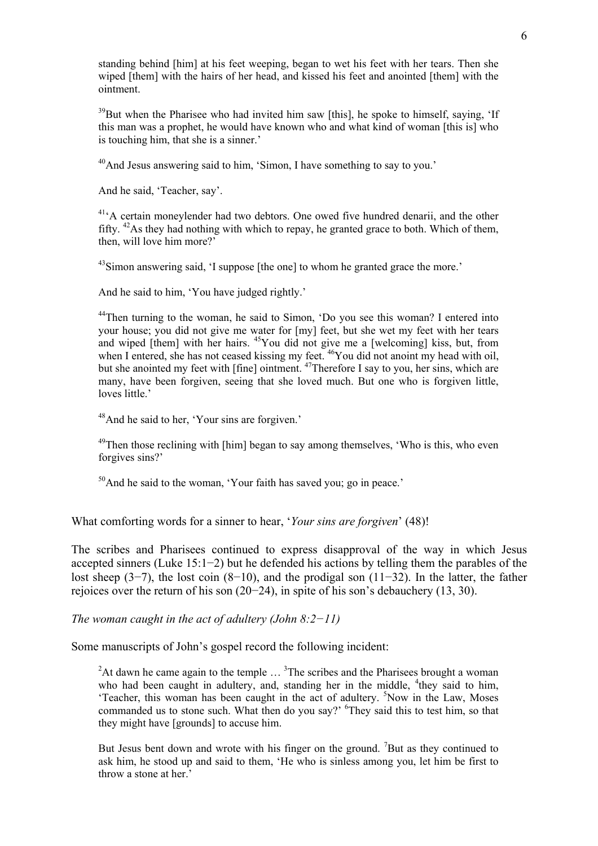standing behind [him] at his feet weeping, began to wet his feet with her tears. Then she wiped [them] with the hairs of her head, and kissed his feet and anointed [them] with the ointment.

 $39$ But when the Pharisee who had invited him saw [this], he spoke to himself, saying, 'If this man was a prophet, he would have known who and what kind of woman [this is] who is touching him, that she is a sinner.'

<sup>40</sup>And Jesus answering said to him, 'Simon, I have something to say to you.'

And he said, 'Teacher, say'.

<sup>41</sup><sup>A</sup> certain moneylender had two debtors. One owed five hundred denarii, and the other fifty. 42As they had nothing with which to repay, he granted grace to both. Which of them, then, will love him more?'

<sup>43</sup>Simon answering said, 'I suppose [the one] to whom he granted grace the more.'

And he said to him, 'You have judged rightly.'

<sup>44</sup>Then turning to the woman, he said to Simon, 'Do you see this woman? I entered into your house; you did not give me water for [my] feet, but she wet my feet with her tears and wiped [them] with her hairs. 45You did not give me a [welcoming] kiss, but, from when I entered, she has not ceased kissing my feet. <sup>46</sup>You did not anoint my head with oil, but she anointed my feet with [fine] ointment. <sup>47</sup>Therefore I say to you, her sins, which are many, have been forgiven, seeing that she loved much. But one who is forgiven little, loves little.'

48And he said to her, 'Your sins are forgiven.'

<sup>49</sup>Then those reclining with [him] began to say among themselves, 'Who is this, who even forgives sins?'

 $50$ And he said to the woman, 'Your faith has saved you; go in peace.'

What comforting words for a sinner to hear, '*Your sins are forgiven*' (48)!

The scribes and Pharisees continued to express disapproval of the way in which Jesus accepted sinners (Luke 15:1−2) but he defended his actions by telling them the parables of the lost sheep (3−7), the lost coin (8−10), and the prodigal son (11−32). In the latter, the father rejoices over the return of his son (20−24), in spite of his son's debauchery (13, 30).

*The woman caught in the act of adultery (John 8:2−11)* 

Some manuscripts of John's gospel record the following incident:

<sup>2</sup>At dawn he came again to the temple  $\ldots$ <sup>3</sup>The scribes and the Pharisees brought a woman who had been caught in adultery, and, standing her in the middle,  $4$ they said to him, 'Teacher, this woman has been caught in the act of adultery. <sup>5</sup>Now in the Law, Moses commanded us to stone such. What then do you say?' <sup>6</sup>They said this to test him, so that they might have [grounds] to accuse him.

But Jesus bent down and wrote with his finger on the ground. <sup>7</sup>But as they continued to ask him, he stood up and said to them, 'He who is sinless among you, let him be first to throw a stone at her.'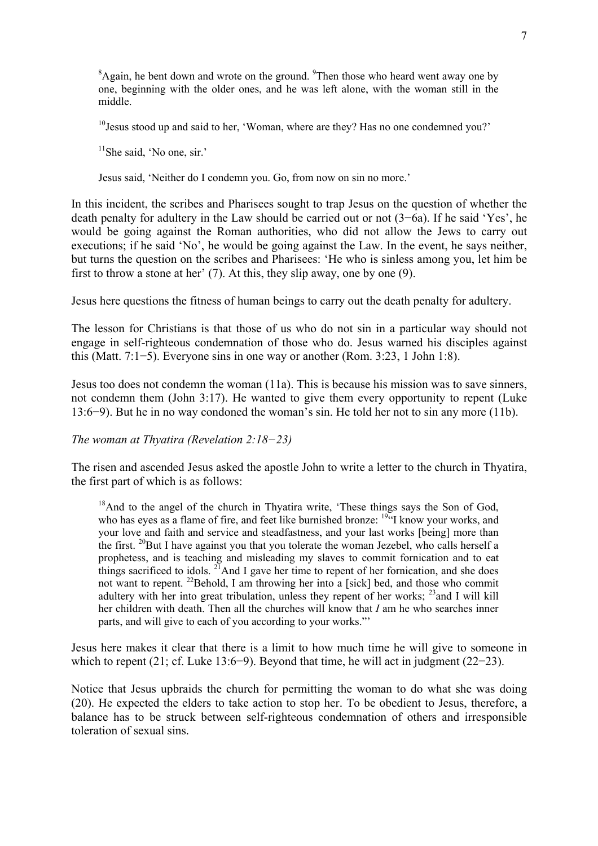<sup>8</sup>Again, he bent down and wrote on the ground. <sup>9</sup>Then those who heard went away one by one, beginning with the older ones, and he was left alone, with the woman still in the middle.

<sup>10</sup> Jesus stood up and said to her, 'Woman, where are they? Has no one condemned you?'

 $11$ She said, 'No one, sir.'

Jesus said, 'Neither do I condemn you. Go, from now on sin no more.'

In this incident, the scribes and Pharisees sought to trap Jesus on the question of whether the death penalty for adultery in the Law should be carried out or not (3−6a). If he said 'Yes', he would be going against the Roman authorities, who did not allow the Jews to carry out executions; if he said 'No', he would be going against the Law. In the event, he says neither, but turns the question on the scribes and Pharisees: 'He who is sinless among you, let him be first to throw a stone at her' (7). At this, they slip away, one by one (9).

Jesus here questions the fitness of human beings to carry out the death penalty for adultery.

The lesson for Christians is that those of us who do not sin in a particular way should not engage in self-righteous condemnation of those who do. Jesus warned his disciples against this (Matt. 7:1−5). Everyone sins in one way or another (Rom. 3:23, 1 John 1:8).

Jesus too does not condemn the woman (11a). This is because his mission was to save sinners, not condemn them (John 3:17). He wanted to give them every opportunity to repent (Luke 13:6−9). But he in no way condoned the woman's sin. He told her not to sin any more (11b).

*The woman at Thyatira (Revelation 2:18−23)* 

The risen and ascended Jesus asked the apostle John to write a letter to the church in Thyatira, the first part of which is as follows:

<sup>18</sup>And to the angel of the church in Thyatira write, 'These things says the Son of God, who has eyes as a flame of fire, and feet like burnished bronze: <sup>1944</sup>I know your works, and your love and faith and service and steadfastness, and your last works [being] more than the first. <sup>20</sup>But I have against you that you tolerate the woman Jezebel, who calls herself a prophetess, and is teaching and misleading my slaves to commit fornication and to eat things sacrificed to idols. <sup>21</sup>And I gave her time to repent of her fornication, and she does not want to repent. <sup>22</sup>Behold, I am throwing her into a [sick] bed, and those who commit adultery with her into great tribulation, unless they repent of her works;  $^{23}$  and I will kill her children with death. Then all the churches will know that *I* am he who searches inner parts, and will give to each of you according to your works."'

Jesus here makes it clear that there is a limit to how much time he will give to someone in which to repent (21; cf. Luke 13:6−9). Beyond that time, he will act in judgment (22−23).

Notice that Jesus upbraids the church for permitting the woman to do what she was doing (20). He expected the elders to take action to stop her. To be obedient to Jesus, therefore, a balance has to be struck between self-righteous condemnation of others and irresponsible toleration of sexual sins.